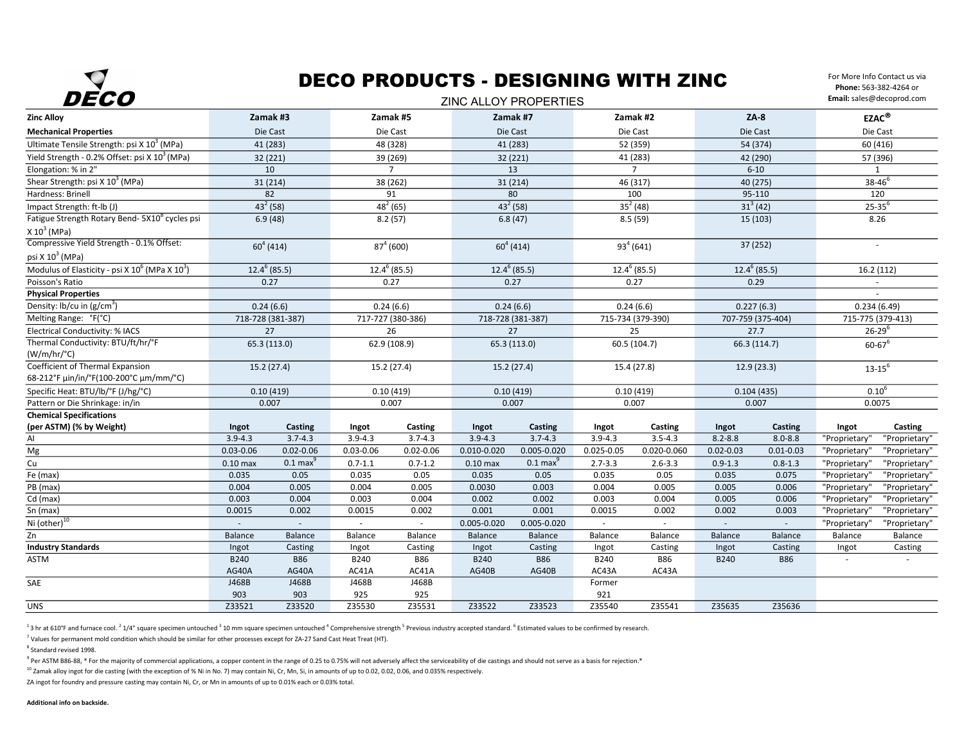

### DECO PRODUCTS - DESIGNING WITH ZINC  $\overline{\phantom{a}}$

For More Info Contact us via Phone: 563-382-4264 or Email: sales@decoprod.com

| レレしし<br><b><i>LING ALLOY PROPERTIES</i></b>                                 |                   |                     |                   |                |                   |                     |                   |                |                   |               | Ennam: sarcs @ accoproa.com |               |
|-----------------------------------------------------------------------------|-------------------|---------------------|-------------------|----------------|-------------------|---------------------|-------------------|----------------|-------------------|---------------|-----------------------------|---------------|
| <b>Zinc Alloy</b>                                                           | Zamak #3          |                     | Zamak #5          |                | Zamak #7          |                     | Zamak #2          |                | $ZA-8$            |               | EZAC <sup>®</sup>           |               |
| <b>Mechanical Properties</b>                                                | Die Cast          |                     | Die Cast          |                | Die Cast          |                     | Die Cast          |                | Die Cast          |               | Die Cast                    |               |
| Ultimate Tensile Strength: psi X 10 <sup>3</sup> (MPa)                      | 41 (283)          |                     | 48 (328)          |                | 41 (283)          |                     | 52 (359)          |                | 54 (374)          |               | 60 (416)                    |               |
| Yield Strength - 0.2% Offset: psi X 10 <sup>3</sup> (MPa)                   | 32 (221)          |                     | 39 (269)          |                | 32 (221)          |                     | 41 (283)          |                | 42 (290)          |               | 57 (396)                    |               |
| Elongation: % in 2"                                                         | 10                |                     | $\overline{7}$    |                | 13                |                     | $\overline{7}$    |                | $6 - 10$          |               | 1                           |               |
| Shear Strength: psi X 10 <sup>3</sup> (MPa)                                 | 31 (214)          |                     | 38 (262)          |                | 31(214)           |                     | 46 (317)          |                | 40 (275)          |               | $38 - 46^{6}$               |               |
| Hardness: Brinell                                                           | 82                |                     | 91                |                | 80                |                     | 100               |                | 95-110            |               | 120                         |               |
| Impact Strength: ft-lb (J)                                                  | $43^2$ (58)       |                     | $48^{2}(65)$      |                | $43^{2}(58)$      |                     | $35^2(48)$        |                | $31^3(42)$        |               | $25 - 35^{6}$               |               |
| Fatigue Strength Rotary Bend- 5X10 <sup>8</sup> cycles psi<br>$X 103$ (MPa) | 6.9(48)           |                     | 8.2(57)           |                | 6.8(47)           |                     | 8.5(59)           |                | 15 (103)          |               | 8.26                        |               |
| Compressive Yield Strength - 0.1% Offset:                                   |                   |                     |                   |                |                   |                     |                   |                | 37 (252)          |               | $\sim$                      |               |
| psi X $10^3$ (MPa)                                                          | $60^{4}(414)$     |                     | $87^{4}(600)$     |                | $60^{4}(414)$     |                     | $93^{4}(641)$     |                |                   |               |                             |               |
| Modulus of Elasticity - psi X 10 <sup>6</sup> (MPa X 10 <sup>3</sup> )      | $12.4^{6}$ (85.5) |                     | $12.4^6(85.5)$    |                | $12.4^{6}$ (85.5) |                     | $12.4^6(85.5)$    |                | $12.4^{6}$ (85.5) |               | 16.2(112)                   |               |
| Poisson's Ratio                                                             | 0.27              |                     | 0.27              |                | 0.27              |                     | 0.27              |                | 0.29              |               |                             |               |
| <b>Physical Properties</b>                                                  |                   |                     |                   |                |                   |                     |                   |                |                   |               |                             |               |
| Density: lb/cu in $(g/cm^3)$                                                | 0.24(6.6)         |                     | 0.24(6.6)         |                | 0.24(6.6)         |                     | 0.24(6.6)         |                | 0.227(6.3)        |               | 0.234(6.49)                 |               |
| Melting Range: °F(°C)                                                       | 718-728 (381-387) |                     | 717-727 (380-386) |                | 718-728 (381-387) |                     | 715-734 (379-390) |                | 707-759 (375-404) |               | 715-775 (379-413)           |               |
| Electrical Conductivity: % IACS                                             | 27                |                     | 26                |                | 27                |                     | 25                |                | 27.7              |               | $26 - 29^{6}$               |               |
| Thermal Conductivity: BTU/ft/hr/°F<br>$(W/m/hr$ <sup>o</sup> C)             | 65.3 (113.0)      |                     | 62.9 (108.9)      |                | 65.3 (113.0)      |                     |                   | 60.5 (104.7)   | 66.3(114.7)       |               | $60 - 67$ <sup>6</sup>      |               |
| Coefficient of Thermal Expansion                                            | 15.2(27.4)        |                     | 15.2 (27.4)       |                | 15.2(27.4)        |                     | 15.4 (27.8)       |                | 12.9(23.3)        |               | $13 - 15^{6}$               |               |
| 68-212°F μin/in/°F(100-200°C μm/mm/°C)                                      |                   |                     |                   |                |                   |                     |                   |                |                   |               |                             |               |
| Specific Heat: BTU/lb/°F (J/hg/°C)                                          | 0.10(419)         |                     | 0.10(419)         |                | 0.10(419)         |                     | 0.10(419)         |                | 0.104(435)        |               | $0.10^{6}$                  |               |
| Pattern or Die Shrinkage: in/in                                             | 0.007             |                     | 0.007             |                | 0.007             |                     | 0.007             |                | 0.007             |               | 0.0075                      |               |
| <b>Chemical Specifications</b>                                              |                   |                     |                   |                |                   |                     |                   |                |                   |               |                             |               |
| (per ASTM) (% by Weight)                                                    | Ingot             | Casting             | Ingot             | Casting        | Ingot             | Casting             | Ingot             | Casting        | Ingot             | Casting       | Ingot                       | Casting       |
| AI                                                                          | $3.9 - 4.3$       | $3.7 - 4.3$         | $3.9 - 4.3$       | $3.7 - 4.3$    | $3.9 - 4.3$       | $3.7 - 4.3$         | $3.9 - 4.3$       | $3.5 - 4.3$    | $8.2 - 8.8$       | $8.0 - 8.8$   | "Proprietary'               | "Proprietary" |
| Mg                                                                          | $0.03 - 0.06$     | $0.02 - 0.06$       | $0.03 - 0.06$     | $0.02 - 0.06$  | $0.010 - 0.020$   | $0.005 - 0.020$     | $0.025 - 0.05$    | 0.020-0.060    | $0.02 - 0.03$     | $0.01 - 0.03$ | "Proprietary                | "Proprietary" |
| $\mathsf{Cu}$                                                               | $0.10$ max        | $0.1 \text{ max}^9$ | $0.7 - 1.1$       | $0.7 - 1.2$    | $0.10$ max        | $0.1 \text{ max}^3$ | $2.7 - 3.3$       | $2.6 - 3.3$    | $0.9 - 1.3$       | $0.8 - 1.3$   | "Proprietary'               | "Proprietary" |
| Fe (max)                                                                    | 0.035             | 0.05                | 0.035             | 0.05           | 0.035             | 0.05                | 0.035             | 0.05           | 0.035             | 0.075         | "Proprietary'               | "Proprietary" |
| PB (max)                                                                    | 0.004             | 0.005               | 0.004             | 0.005          | 0.0030            | 0.003               | 0.004             | 0.005          | 0.005             | 0.006         | "Proprietary                | "Proprietary" |
| $Cd$ (max)                                                                  | 0.003             | 0.004               | 0.003             | 0.004          | 0.002             | 0.002               | 0.003             | 0.004          | 0.005             | 0.006         | "Proprietary                | "Proprietary" |
| Sn (max)                                                                    | 0.0015            | 0.002               | 0.0015            | 0.002          | 0.001             | 0.001               | 0.0015            | 0.002          | 0.002             | 0.003         | "Proprietary                | "Proprietary" |
| Ni (other) <sup>10</sup>                                                    | $\sim$            | $\omega$            | ä,                | $\mathbb{Z}^2$ | $0.005 - 0.020$   | $0.005 - 0.020$     |                   | $\omega$       | $\sim$            | $\omega$      | "Proprietary'               | "Proprietary" |
| Zn                                                                          | Balance           | Balance             | Balance           | Balance        | <b>Balance</b>    | Balance             | Balance           | <b>Balance</b> | <b>Balance</b>    | Balance       | Balance                     | Balance       |
| <b>Industry Standards</b>                                                   | Ingot             | Casting             | Ingot             | Casting        | Ingot             | Casting             | Ingot             | Casting        | Ingot             | Casting       | Ingot                       | Casting       |
| ASTM                                                                        | B240              | <b>B86</b>          | B240              | <b>B86</b>     | <b>B240</b>       | <b>B86</b>          | B240              | B86            | <b>B240</b>       | <b>B86</b>    |                             |               |
|                                                                             | AG40A             | AG40A               | AC41A             | AC41A          | AG40B             | AG40B               | AC43A             | AC43A          |                   |               |                             |               |
| SAE                                                                         | J468B             | J468B               | J468B             | J468B          |                   |                     | Former            |                |                   |               |                             |               |
|                                                                             | 903               | 903                 | 925               | 925            |                   |                     | 921               |                |                   |               |                             |               |
| <b>UNS</b>                                                                  | Z33521            | Z33520              | Z35530            | Z35531         | Z33522            | Z33523              | Z35540            | Z35541         | Z35635            | Z35636        |                             |               |

 $^{1}$ 3 hr at 610°F and furnace cool.  $^{2}$  1/4" square specimen untouched  $^{3}$  10 mm square specimen untouched  $^{4}$  Comprehensive strength  $^{5}$  Previous industry accepted standard.  $^{6}$  Estimated values to be confirme

7 Values for permanent mold condition which should be similar for other processes except for ZA-27 Sand Cast Heat Treat (HT).

8 Standard revised 1998.

 $^9$  Per ASTM B86-88, \* For the majority of commercial applications, a copper content in the range of 0.25 to 0.75% will not adversely affect the serviceability of die castings and should not serve as a basis for rejectio

<sup>10</sup> Zamak alloy ingot for die casting (with the exception of % Ni in No. 7) may contain Ni, Cr, Mn, Si, in amounts of up to 0.02, 0.02, 0.06, and 0.035% respectively.

ZA ingot for foundry and pressure casting may contain Ni, Cr, or Mn in amounts of up to 0.01% each or 0.03% total.